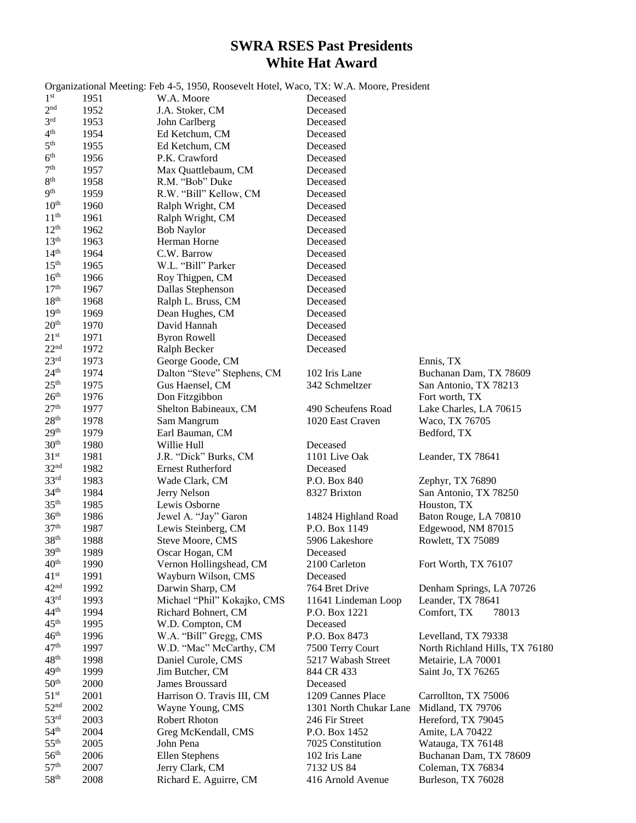## **SWRA RSES Past Presidents White Hat Award**

|                                   |              | Organizational Meeting: Feb 4-5, 1950, Roosevelt Hotel, Waco, TX: W.A. Moore, President |                        |                                |
|-----------------------------------|--------------|-----------------------------------------------------------------------------------------|------------------------|--------------------------------|
| 1 <sup>st</sup>                   | 1951         | W.A. Moore                                                                              | Deceased               |                                |
| 2 <sup>nd</sup>                   | 1952         | J.A. Stoker, CM                                                                         | Deceased               |                                |
| 3 <sup>rd</sup>                   | 1953         | John Carlberg                                                                           | Deceased               |                                |
| 4 <sup>th</sup>                   | 1954         | Ed Ketchum, CM                                                                          | Deceased               |                                |
| $5^{\text{th}}$                   | 1955         | Ed Ketchum, CM                                                                          | Deceased               |                                |
| 6 <sup>th</sup>                   | 1956         | P.K. Crawford                                                                           | Deceased               |                                |
| 7 <sup>th</sup>                   | 1957         | Max Quattlebaum, CM                                                                     | Deceased               |                                |
| 8 <sup>th</sup>                   | 1958         | R.M. "Bob" Duke                                                                         | Deceased               |                                |
| 9 <sup>th</sup>                   | 1959         | R.W. "Bill" Kellow, CM                                                                  | Deceased               |                                |
| 10 <sup>th</sup>                  | 1960         | Ralph Wright, CM                                                                        | Deceased               |                                |
| 11 <sup>th</sup>                  | 1961         | Ralph Wright, CM                                                                        | Deceased               |                                |
| 12 <sup>th</sup>                  | 1962         | <b>Bob Naylor</b>                                                                       | Deceased               |                                |
| 13 <sup>th</sup>                  | 1963         | Herman Horne                                                                            | Deceased               |                                |
| 14 <sup>th</sup>                  | 1964         | C.W. Barrow                                                                             | Deceased               |                                |
| 15 <sup>th</sup>                  | 1965         | W.L. "Bill" Parker                                                                      | Deceased               |                                |
| 16 <sup>th</sup>                  | 1966         | Roy Thigpen, CM                                                                         | Deceased               |                                |
| 17 <sup>th</sup><br>$18^{\rm th}$ | 1967         | Dallas Stephenson                                                                       | Deceased               |                                |
|                                   | 1968         | Ralph L. Bruss, CM                                                                      | Deceased               |                                |
| 19 <sup>th</sup><br>$20^{\rm th}$ | 1969         | Dean Hughes, CM                                                                         | Deceased               |                                |
| 21 <sup>st</sup>                  | 1970         | David Hannah                                                                            | Deceased               |                                |
| 22 <sup>nd</sup>                  | 1971         | <b>Byron Rowell</b>                                                                     | Deceased               |                                |
| 23 <sup>rd</sup>                  | 1972<br>1973 | Ralph Becker                                                                            | Deceased               | Ennis, TX                      |
| 24 <sup>th</sup>                  | 1974         | George Goode, CM<br>Dalton "Steve" Stephens, CM                                         | 102 Iris Lane          | Buchanan Dam, TX 78609         |
| 25 <sup>th</sup>                  | 1975         | Gus Haensel, CM                                                                         | 342 Schmeltzer         | San Antonio, TX 78213          |
| 26 <sup>th</sup>                  | 1976         | Don Fitzgibbon                                                                          |                        | Fort worth, TX                 |
| 27 <sup>th</sup>                  | 1977         | Shelton Babineaux, CM                                                                   | 490 Scheufens Road     | Lake Charles, LA 70615         |
| 28 <sup>th</sup>                  | 1978         | Sam Mangrum                                                                             | 1020 East Craven       | Waco, TX 76705                 |
| 29 <sup>th</sup>                  | 1979         | Earl Bauman, CM                                                                         |                        | Bedford, TX                    |
| 30 <sup>th</sup>                  | 1980         | Willie Hull                                                                             | Deceased               |                                |
| 31 <sup>st</sup>                  | 1981         | J.R. "Dick" Burks, CM                                                                   | 1101 Live Oak          | Leander, TX 78641              |
| 32 <sup>nd</sup>                  | 1982         | <b>Ernest Rutherford</b>                                                                | Deceased               |                                |
| 33 <sup>rd</sup>                  | 1983         | Wade Clark, CM                                                                          | P.O. Box 840           | Zephyr, TX 76890               |
| 34 <sup>th</sup>                  | 1984         | Jerry Nelson                                                                            | 8327 Brixton           | San Antonio, TX 78250          |
| 35 <sup>th</sup>                  | 1985         | Lewis Osborne                                                                           |                        | Houston, TX                    |
| 36 <sup>th</sup>                  | 1986         | Jewel A. "Jay" Garon                                                                    | 14824 Highland Road    | Baton Rouge, LA 70810          |
| 37 <sup>th</sup>                  | 1987         | Lewis Steinberg, CM                                                                     | P.O. Box 1149          | Edgewood, NM 87015             |
| 38 <sup>th</sup>                  | 1988         | Steve Moore, CMS                                                                        | 5906 Lakeshore         | Rowlett, TX 75089              |
| 39 <sup>th</sup>                  | 1989         | Oscar Hogan, CM                                                                         | Deceased               |                                |
| 40 <sup>th</sup>                  | 1990         | Vernon Hollingshead, CM                                                                 | 2100 Carleton          | Fort Worth, TX 76107           |
| 41 <sup>st</sup>                  | 1991         | Wayburn Wilson, CMS                                                                     | Deceased               |                                |
| 42 <sup>nd</sup>                  | 1992         | Darwin Sharp, CM                                                                        | 764 Bret Drive         | Denham Springs, LA 70726       |
| 43 <sup>rd</sup>                  | 1993         | Michael "Phil" Kokajko, CMS                                                             | 11641 Lindeman Loop    | Leander, TX 78641              |
| $44^{\rm th}$                     | 1994         | Richard Bohnert, CM                                                                     | P.O. Box 1221          | Comfort, TX<br>78013           |
| 45 <sup>th</sup>                  | 1995         | W.D. Compton, CM                                                                        | Deceased               |                                |
| 46 <sup>th</sup>                  | 1996         | W.A. "Bill" Gregg, CMS                                                                  | P.O. Box 8473          | Levelland, TX 79338            |
| 47 <sup>th</sup>                  | 1997         | W.D. "Mac" McCarthy, CM                                                                 | 7500 Terry Court       | North Richland Hills, TX 76180 |
| 48 <sup>th</sup>                  | 1998         | Daniel Curole, CMS                                                                      | 5217 Wabash Street     | Metairie, LA 70001             |
| 49 <sup>th</sup>                  | 1999         | Jim Butcher, CM                                                                         | 844 CR 433             | Saint Jo, TX 76265             |
| 50 <sup>th</sup>                  | 2000         | James Broussard                                                                         | Deceased               |                                |
| 51 <sup>st</sup>                  | 2001         | Harrison O. Travis III, CM                                                              | 1209 Cannes Place      | Carrollton, TX 75006           |
| 52 <sup>nd</sup>                  | 2002         | Wayne Young, CMS                                                                        | 1301 North Chukar Lane | Midland, TX 79706              |
| 53 <sup>rd</sup>                  | 2003         | <b>Robert Rhoton</b>                                                                    | 246 Fir Street         | Hereford, TX 79045             |
| 54 <sup>th</sup>                  | 2004         | Greg McKendall, CMS                                                                     | P.O. Box 1452          | Amite, LA 70422                |
| 55 <sup>th</sup>                  | 2005         | John Pena                                                                               | 7025 Constitution      | Watauga, TX 76148              |
| 56 <sup>th</sup>                  | 2006         | Ellen Stephens                                                                          | 102 Iris Lane          | Buchanan Dam, TX 78609         |
| 57 <sup>th</sup>                  | 2007         | Jerry Clark, CM                                                                         | 7132 US 84             | Coleman, TX 76834              |
| 58 <sup>th</sup>                  | 2008         | Richard E. Aguirre, CM                                                                  | 416 Arnold Avenue      | Burleson, TX 76028             |